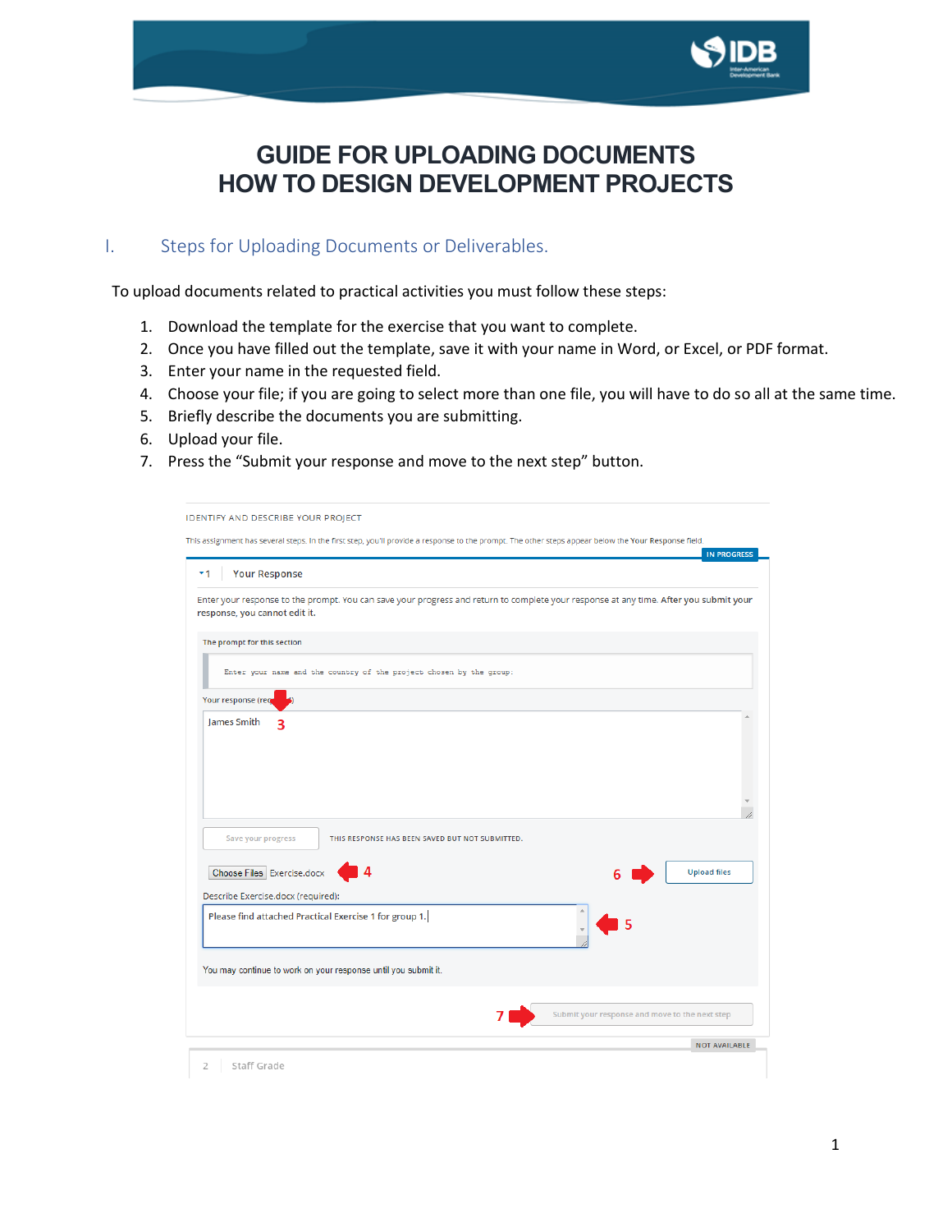

## **GUIDE FOR UPLOADING DOCUMENTS HOW TO DESIGN DEVELOPMENT PROJECTS**

## I. Steps for Uploading Documents or Deliverables.

To upload documents related to practical activities you must follow these steps:

- 1. Download the template for the exercise that you want to complete.
- 2. Once you have filled out the template, save it with your name in Word, or Excel, or PDF format.
- 3. Enter your name in the requested field.
- 4. Choose your file; if you are going to select more than one file, you will have to do so all at the same time.
- 5. Briefly describe the documents you are submitting.
- 6. Upload your file.
- 7. Press the "Submit your response and move to the next step" button.

| <b>Your Response</b><br>▼1                             |                                                                     |                                                                                                                                       | <b>IN PROGRESS</b>  |
|--------------------------------------------------------|---------------------------------------------------------------------|---------------------------------------------------------------------------------------------------------------------------------------|---------------------|
| response, you cannot edit it.                          |                                                                     | Enter your response to the prompt. You can save your progress and return to complete your response at any time. After you submit your |                     |
| The prompt for this section                            |                                                                     |                                                                                                                                       |                     |
|                                                        | Enter your name and the country of the project chosen by the group: |                                                                                                                                       |                     |
| Your response (req                                     |                                                                     |                                                                                                                                       |                     |
|                                                        |                                                                     |                                                                                                                                       |                     |
|                                                        | THIS RESPONSE HAS BEEN SAVED BUT NOT SUBMITTED.                     |                                                                                                                                       |                     |
| Save your progress<br>Choose Files Exercise.docx       |                                                                     |                                                                                                                                       | <b>Upload files</b> |
| Describe Exercise.docx (required):                     |                                                                     |                                                                                                                                       |                     |
| Please find attached Practical Exercise 1 for group 1. |                                                                     |                                                                                                                                       |                     |
|                                                        | You may continue to work on your response until you submit it.      |                                                                                                                                       |                     |